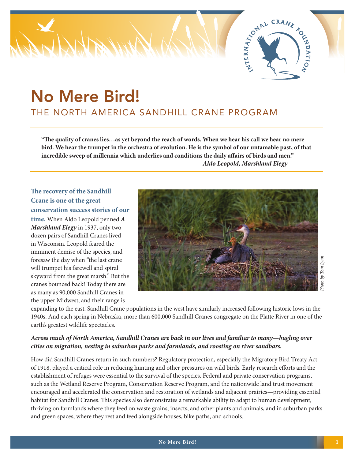

# No Mere Bird! THE NORTH AMERICA SANDHILL CRANE PROGRAM

**"The quality of cranes lies…as yet beyond the reach of words. When we hear his call we hear no mere bird. We hear the trumpet in the orchestra of evolution. He is the symbol of our untamable past, of that incredible sweep of millennia which underlies and conditions the daily affairs of birds and men."** – *Aldo Leopold, Marshland Elegy*

**The recovery of the Sandhill Crane is one of the great conservation success stories of our time.** When Aldo Leopold penned *A Marshland Elegy* in 1937, only two dozen pairs of Sandhill Cranes lived in Wisconsin. Leopold feared the imminent demise of the species, and foresaw the day when "the last crane will trumpet his farewell and spiral skyward from the great marsh." But the cranes bounced back! Today there are as many as 90,000 Sandhill Cranes in the upper Midwest, and their range is



*Photo by Tom Lynn*

expanding to the east. Sandhill Crane populations in the west have similarly increased following historic lows in the 1940s. And each spring in Nebraska, more than 600,000 Sandhill Cranes congregate on the Platte River in one of the earth's greatest wildlife spectacles.

#### *Across much of North America, Sandhill Cranes are back in our lives and familiar to many—bugling over cities on migration, nesting in suburban parks and farmlands, and roosting on river sandbars.*

How did Sandhill Cranes return in such numbers? Regulatory protection, especially the Migratory Bird Treaty Act of 1918, played a critical role in reducing hunting and other pressures on wild birds. Early research efforts and the establishment of refuges were essential to the survival of the species. Federal and private conservation programs, such as the Wetland Reserve Program, Conservation Reserve Program, and the nationwide land trust movement encouraged and accelerated the conservation and restoration of wetlands and adjacent prairies—providing essential habitat for Sandhill Cranes. This species also demonstrates a remarkable ability to adapt to human development, thriving on farmlands where they feed on waste grains, insects, and other plants and animals, and in suburban parks and green spaces, where they rest and feed alongside houses, bike paths, and schools.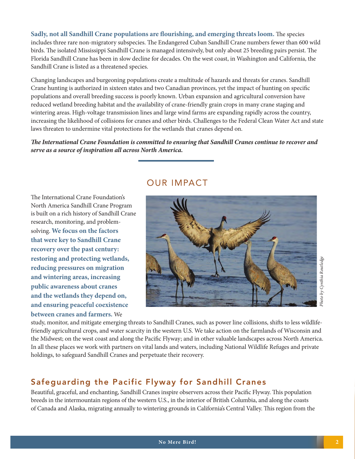**Sadly, not all Sandhill Crane populations are flourishing, and emerging threats loom.** The species includes three rare non-migratory subspecies. The Endangered Cuban Sandhill Crane numbers fewer than 600 wild birds. The isolated Mississippi Sandhill Crane is managed intensively, but only about 25 breeding pairs persist. The Florida Sandhill Crane has been in slow decline for decades. On the west coast, in Washington and California, the Sandhill Crane is listed as a threatened species.

Changing landscapes and burgeoning populations create a multitude of hazards and threats for cranes. Sandhill Crane hunting is authorized in sixteen states and two Canadian provinces, yet the impact of hunting on specific populations and overall breeding success is poorly known. Urban expansion and agricultural conversion have reduced wetland breeding habitat and the availability of crane-friendly grain crops in many crane staging and wintering areas. High-voltage transmission lines and large wind farms are expanding rapidly across the country, increasing the likelihood of collisions for cranes and other birds. Challenges to the Federal Clean Water Act and state laws threaten to undermine vital protections for the wetlands that cranes depend on.

*The International Crane Foundation is committed to ensuring that Sandhill Cranes continue to recover and serve as a source of inspiration all across North America.*

# OUR IMPACT

The International Crane Foundation's North America Sandhill Crane Program is built on a rich history of Sandhill Crane research, monitoring, and problemsolving. **We focus on the factors that were key to Sandhill Crane recovery over the past century: restoring and protecting wetlands, reducing pressures on migration and wintering areas, increasing public awareness about cranes and the wetlands they depend on, and ensuring peaceful coexistence between cranes and farmers.** We



study, monitor, and mitigate emerging threats to Sandhill Cranes, such as power line collisions, shifts to less wildlifefriendly agricultural crops, and water scarcity in the western U.S. We take action on the farmlands of Wisconsin and the Midwest; on the west coast and along the Pacific Flyway; and in other valuable landscapes across North America. In all these places we work with partners on vital lands and waters, including National Wildlife Refuges and private holdings, to safeguard Sandhill Cranes and perpetuate their recovery.

## Safeguarding the Pacific Flyway for Sandhill Cranes

Beautiful, graceful, and enchanting, Sandhill Cranes inspire observers across their Pacific Flyway. This population breeds in the intermountain regions of the western U.S., in the interior of British Columbia, and along the coasts of Canada and Alaska, migrating annually to wintering grounds in California's Central Valley. This region from the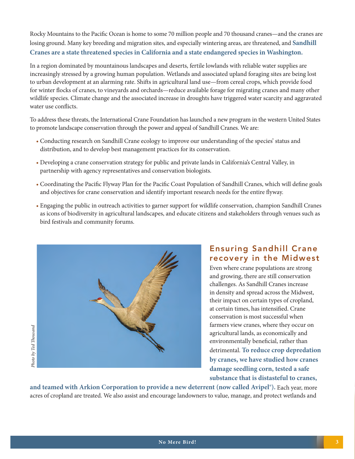Rocky Mountains to the Pacific Ocean is home to some 70 million people and 70 thousand cranes—and the cranes are losing ground. Many key breeding and migration sites, and especially wintering areas, are threatened, and **Sandhill Cranes are a state threatened species in California and a state endangered species in Washington.** 

In a region dominated by mountainous landscapes and deserts, fertile lowlands with reliable water supplies are increasingly stressed by a growing human population. Wetlands and associated upland foraging sites are being lost to urban development at an alarming rate. Shifts in agricultural land use—from cereal crops, which provide food for winter flocks of cranes, to vineyards and orchards—reduce available forage for migrating cranes and many other wildlife species. Climate change and the associated increase in droughts have triggered water scarcity and aggravated water use conflicts.

To address these threats, the International Crane Foundation has launched a new program in the western United States to promote landscape conservation through the power and appeal of Sandhill Cranes. We are:

- Conducting research on Sandhill Crane ecology to improve our understanding of the species' status and distribution, and to develop best management practices for its conservation.
- Developing a crane conservation strategy for public and private lands in California's Central Valley, in partnership with agency representatives and conservation biologists.
- Coordinating the Pacific Flyway Plan for the Pacific Coast Population of Sandhill Cranes, which will define goals and objectives for crane conservation and identify important research needs for the entire flyway.
- Engaging the public in outreach activities to garner support for wildlife conservation, champion Sandhill Cranes as icons of biodiversity in agricultural landscapes, and educate citizens and stakeholders through venues such as bird festivals and community forums.



### Ensuring Sandhill Crane recovery in the Midwest

Even where crane populations are strong and growing, there are still conservation challenges. As Sandhill Cranes increase in density and spread across the Midwest, their impact on certain types of cropland, at certain times, has intensified. Crane conservation is most successful when farmers view cranes, where they occur on agricultural lands, as economically and environmentally beneficial, rather than detrimental. **To reduce crop depredation by cranes, we have studied how cranes damage seedling corn, tested a safe substance that is distasteful to cranes,** 

**and teamed with Arkion Corporation to provide a new deterrent (now called Avipel®).** Each year, more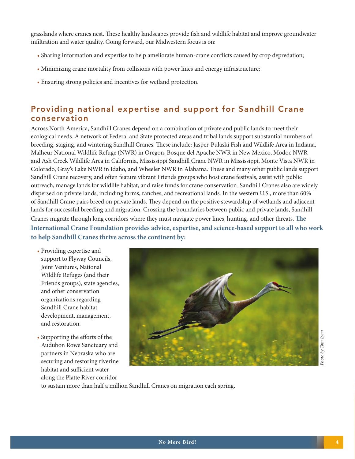grasslands where cranes nest. These healthy landscapes provide fish and wildlife habitat and improve groundwater infiltration and water quality. Going forward, our Midwestern focus is on:

- Sharing information and expertise to help ameliorate human-crane conflicts caused by crop depredation;
- Minimizing crane mortality from collisions with power lines and energy infrastructure;
- Ensuring strong policies and incentives for wetland protection.

# Providing national expertise and support for Sandhill Crane conservation

Across North America, Sandhill Cranes depend on a combination of private and public lands to meet their ecological needs. A network of Federal and State protected areas and tribal lands support substantial numbers of breeding, staging, and wintering Sandhill Cranes. These include: Jasper-Pulaski Fish and Wildlife Area in Indiana, Malheur National Wildlife Refuge (NWR) in Oregon, Bosque del Apache NWR in New Mexico, Modoc NWR and Ash Creek Wildlife Area in California, Mississippi Sandhill Crane NWR in Mississippi, Monte Vista NWR in Colorado, Gray's Lake NWR in Idaho, and Wheeler NWR in Alabama. These and many other public lands support Sandhill Crane recovery, and often feature vibrant Friends groups who host crane festivals, assist with public outreach, manage lands for wildlife habitat, and raise funds for crane conservation. Sandhill Cranes also are widely dispersed on private lands, including farms, ranches, and recreational lands. In the western U.S., more than 60% of Sandhill Crane pairs breed on private lands. They depend on the positive stewardship of wetlands and adjacent lands for successful breeding and migration. Crossing the boundaries between public and private lands, Sandhill Cranes migrate through long corridors where they must navigate power lines, hunting, and other threats. **The International Crane Foundation provides advice, expertise, and science-based support to all who work to help Sandhill Cranes thrive across the continent by:**

- Providing expertise and support to Flyway Councils, Joint Ventures, National Wildlife Refuges (and their Friends groups), state agencies, and other conservation organizations regarding Sandhill Crane habitat development, management, and restoration.
- Supporting the efforts of the Audubon Rowe Sanctuary and partners in Nebraska who are securing and restoring riverine habitat and sufficient water along the Platte River corridor



by Тот Lynn *Photo by Tom Lynn* $i$  oro $i$ 

to sustain more than half a million Sandhill Cranes on migration each spring.